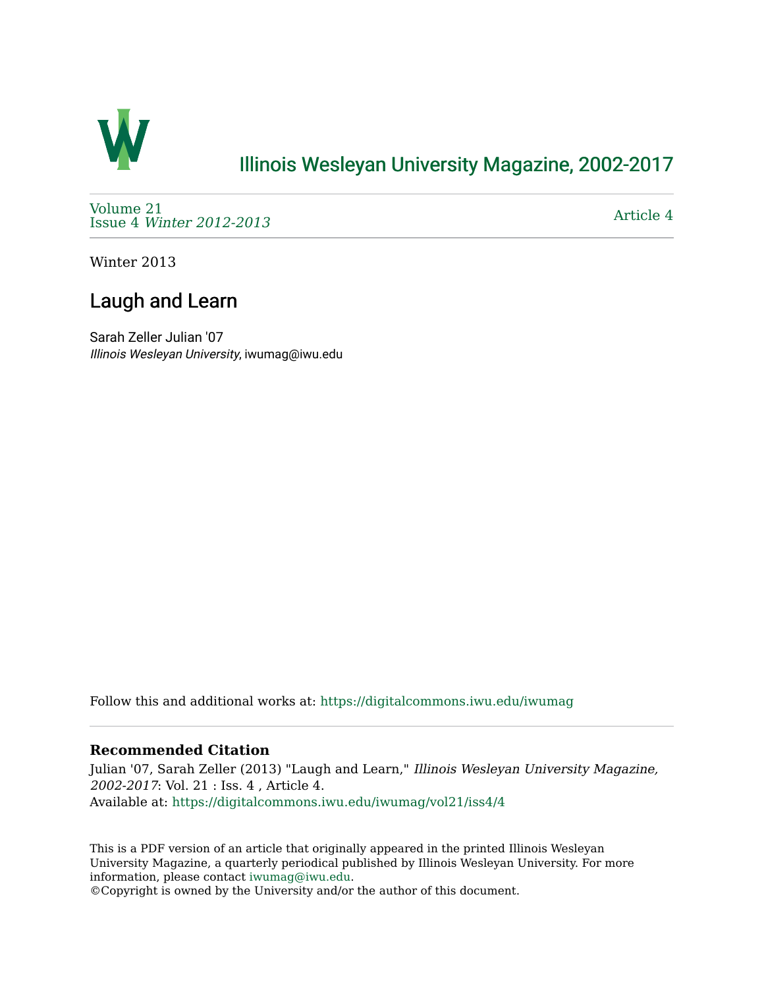

## [Illinois Wesleyan University Magazine, 2002-2017](https://digitalcommons.iwu.edu/iwumag)

[Volume 21](https://digitalcommons.iwu.edu/iwumag/vol21)  Issue 4 [Winter 2012-2013](https://digitalcommons.iwu.edu/iwumag/vol21/iss4)

[Article 4](https://digitalcommons.iwu.edu/iwumag/vol21/iss4/4) 

Winter 2013

# Laugh and Learn

Sarah Zeller Julian '07 Illinois Wesleyan University, iwumag@iwu.edu

Follow this and additional works at: [https://digitalcommons.iwu.edu/iwumag](https://digitalcommons.iwu.edu/iwumag?utm_source=digitalcommons.iwu.edu%2Fiwumag%2Fvol21%2Fiss4%2F4&utm_medium=PDF&utm_campaign=PDFCoverPages) 

### **Recommended Citation**

Julian '07, Sarah Zeller (2013) "Laugh and Learn," Illinois Wesleyan University Magazine, 2002-2017: Vol. 21 : Iss. 4 , Article 4. Available at: [https://digitalcommons.iwu.edu/iwumag/vol21/iss4/4](https://digitalcommons.iwu.edu/iwumag/vol21/iss4/4?utm_source=digitalcommons.iwu.edu%2Fiwumag%2Fvol21%2Fiss4%2F4&utm_medium=PDF&utm_campaign=PDFCoverPages)

This is a PDF version of an article that originally appeared in the printed Illinois Wesleyan University Magazine, a quarterly periodical published by Illinois Wesleyan University. For more information, please contact [iwumag@iwu.edu](mailto:iwumag@iwu.edu).

©Copyright is owned by the University and/or the author of this document.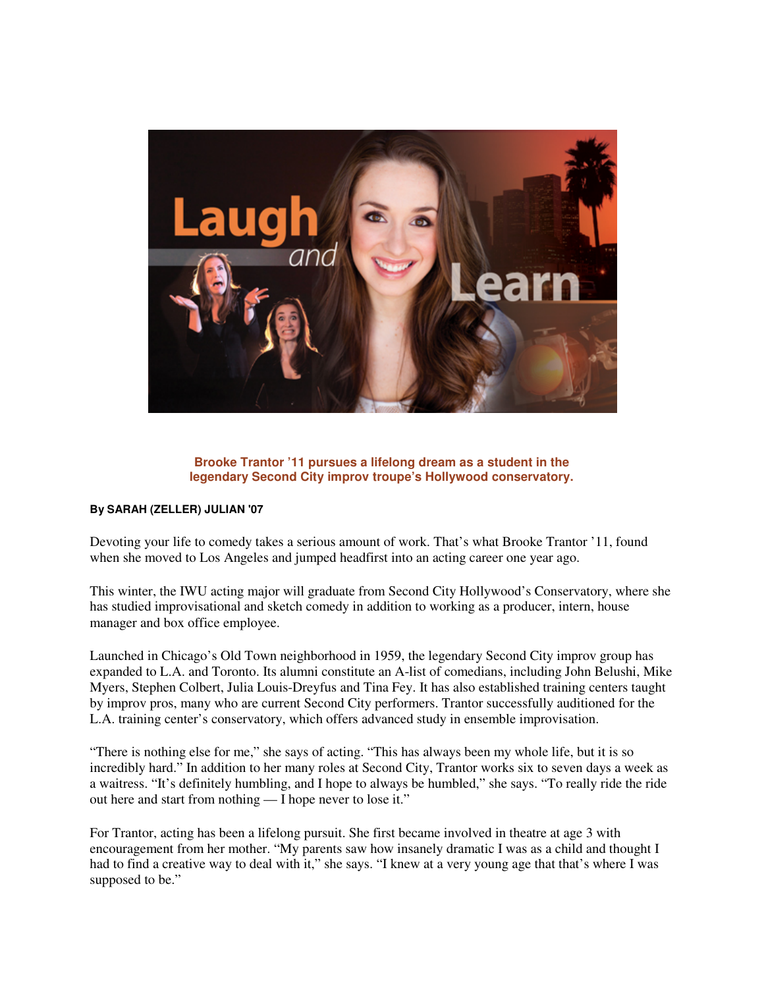

#### **Brooke Trantor '11 pursues a lifelong dream as a student in the legendary Second City improv troupe's Hollywood conservatory.**

#### **By SARAH (ZELLER) JULIAN '07**

Devoting your life to comedy takes a serious amount of work. That's what Brooke Trantor '11, found when she moved to Los Angeles and jumped headfirst into an acting career one year ago.

This winter, the IWU acting major will graduate from Second City Hollywood's Conservatory, where she has studied improvisational and sketch comedy in addition to working as a producer, intern, house manager and box office employee.

Launched in Chicago's Old Town neighborhood in 1959, the legendary Second City improv group has expanded to L.A. and Toronto. Its alumni constitute an A-list of comedians, including John Belushi, Mike Myers, Stephen Colbert, Julia Louis-Dreyfus and Tina Fey. It has also established training centers taught by improv pros, many who are current Second City performers. Trantor successfully auditioned for the L.A. training center's conservatory, which offers advanced study in ensemble improvisation.

"There is nothing else for me," she says of acting. "This has always been my whole life, but it is so incredibly hard." In addition to her many roles at Second City, Trantor works six to seven days a week as a waitress. "It's definitely humbling, and I hope to always be humbled," she says. "To really ride the ride out here and start from nothing — I hope never to lose it."

For Trantor, acting has been a lifelong pursuit. She first became involved in theatre at age 3 with encouragement from her mother. "My parents saw how insanely dramatic I was as a child and thought I had to find a creative way to deal with it," she says. "I knew at a very young age that that's where I was supposed to be."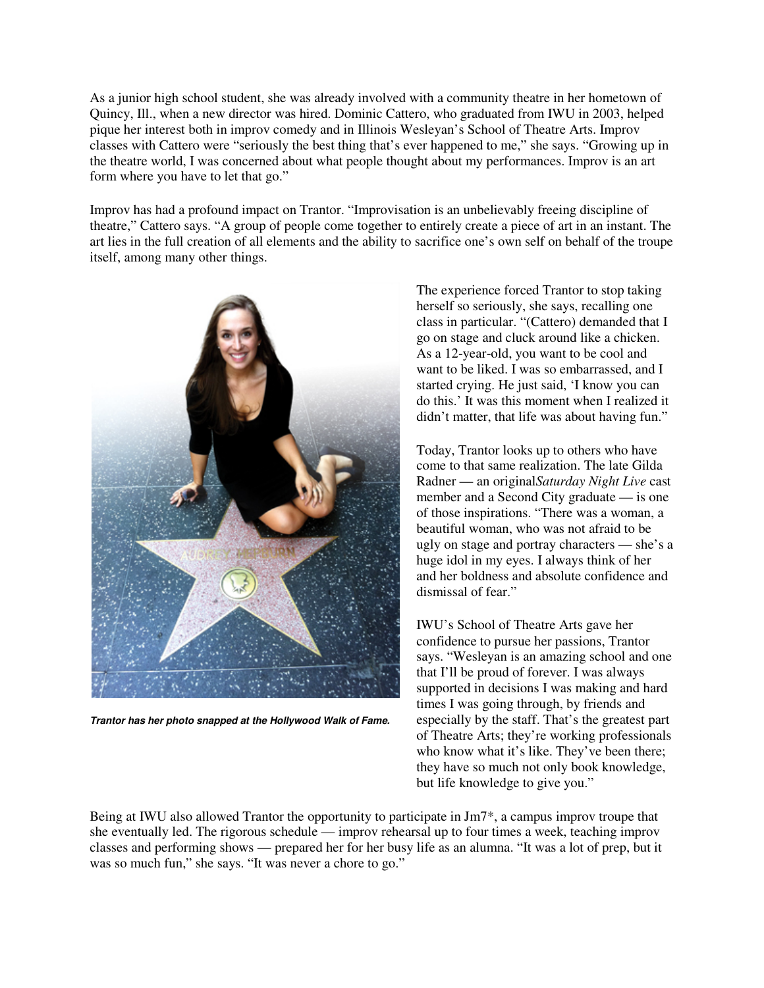As a junior high school student, she was already involved with a community theatre in her hometown of Quincy, Ill., when a new director was hired. Dominic Cattero, who graduated from IWU in 2003, helped pique her interest both in improv comedy and in Illinois Wesleyan's School of Theatre Arts. Improv classes with Cattero were "seriously the best thing that's ever happened to me," she says. "Growing up in the theatre world, I was concerned about what people thought about my performances. Improv is an art form where you have to let that go."

Improv has had a profound impact on Trantor. "Improvisation is an unbelievably freeing discipline of theatre," Cattero says. "A group of people come together to entirely create a piece of art in an instant. The art lies in the full creation of all elements and the ability to sacrifice one's own self on behalf of the troupe itself, among many other things.



**Trantor has her photo snapped at the Hollywood Walk of Fame.**

The experience forced Trantor to stop taking herself so seriously, she says, recalling one class in particular. "(Cattero) demanded that I go on stage and cluck around like a chicken. As a 12-year-old, you want to be cool and want to be liked. I was so embarrassed, and I started crying. He just said, 'I know you can do this.' It was this moment when I realized it didn't matter, that life was about having fun."

Today, Trantor looks up to others who have come to that same realization. The late Gilda Radner — an original*Saturday Night Live* cast member and a Second City graduate — is one of those inspirations. "There was a woman, a beautiful woman, who was not afraid to be ugly on stage and portray characters — she's a huge idol in my eyes. I always think of her and her boldness and absolute confidence and dismissal of fear."

IWU's School of Theatre Arts gave her confidence to pursue her passions, Trantor says. "Wesleyan is an amazing school and one that I'll be proud of forever. I was always supported in decisions I was making and hard times I was going through, by friends and especially by the staff. That's the greatest part of Theatre Arts; they're working professionals who know what it's like. They've been there; they have so much not only book knowledge, but life knowledge to give you."

Being at IWU also allowed Trantor the opportunity to participate in Jm7\*, a campus improv troupe that she eventually led. The rigorous schedule — improv rehearsal up to four times a week, teaching improv classes and performing shows — prepared her for her busy life as an alumna. "It was a lot of prep, but it was so much fun," she says. "It was never a chore to go."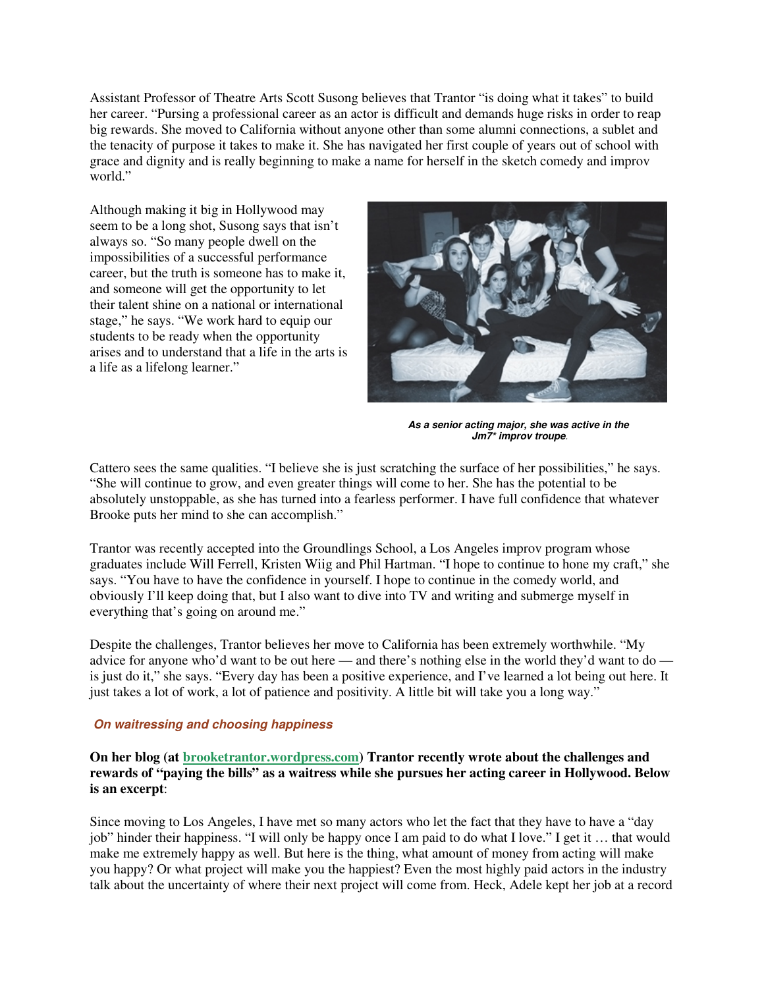Assistant Professor of Theatre Arts Scott Susong believes that Trantor "is doing what it takes" to build her career. "Pursing a professional career as an actor is difficult and demands huge risks in order to reap big rewards. She moved to California without anyone other than some alumni connections, a sublet and the tenacity of purpose it takes to make it. She has navigated her first couple of years out of school with grace and dignity and is really beginning to make a name for herself in the sketch comedy and improv world."

Although making it big in Hollywood may seem to be a long shot, Susong says that isn't always so. "So many people dwell on the impossibilities of a successful performance career, but the truth is someone has to make it, and someone will get the opportunity to let their talent shine on a national or international stage," he says. "We work hard to equip our students to be ready when the opportunity arises and to understand that a life in the arts is a life as a lifelong learner."



**As a senior acting major, she was active in the Jm7\* improv troupe**.

Cattero sees the same qualities. "I believe she is just scratching the surface of her possibilities," he says. "She will continue to grow, and even greater things will come to her. She has the potential to be absolutely unstoppable, as she has turned into a fearless performer. I have full confidence that whatever Brooke puts her mind to she can accomplish."

Trantor was recently accepted into the Groundlings School, a Los Angeles improv program whose graduates include Will Ferrell, Kristen Wiig and Phil Hartman. "I hope to continue to hone my craft," she says. "You have to have the confidence in yourself. I hope to continue in the comedy world, and obviously I'll keep doing that, but I also want to dive into TV and writing and submerge myself in everything that's going on around me."

Despite the challenges, Trantor believes her move to California has been extremely worthwhile. "My advice for anyone who'd want to be out here — and there's nothing else in the world they'd want to do is just do it," she says. "Every day has been a positive experience, and I've learned a lot being out here. It just takes a lot of work, a lot of patience and positivity. A little bit will take you a long way."

#### **On waitressing and choosing happiness**

**On her blog (at brooketrantor.wordpress.com) Trantor recently wrote about the challenges and rewards of "paying the bills" as a waitress while she pursues her acting career in Hollywood. Below is an excerpt**:

Since moving to Los Angeles, I have met so many actors who let the fact that they have to have a "day job" hinder their happiness. "I will only be happy once I am paid to do what I love." I get it … that would make me extremely happy as well. But here is the thing, what amount of money from acting will make you happy? Or what project will make you the happiest? Even the most highly paid actors in the industry talk about the uncertainty of where their next project will come from. Heck, Adele kept her job at a record